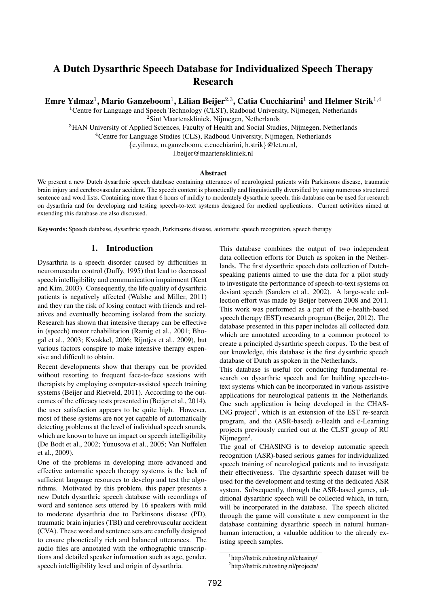# A Dutch Dysarthric Speech Database for Individualized Speech Therapy Research

Emre Yılmaz<sup>1</sup>, Mario Ganzeboom<sup>1</sup>, Lilian Beijer<sup>2,3</sup>, Catia Cucchiarini<sup>1</sup> and Helmer Strik<sup>1,4</sup>

<sup>1</sup>Centre for Language and Speech Technology (CLST), Radboud University, Nijmegen, Netherlands

<sup>2</sup>Sint Maartenskliniek, Nijmegen, Netherlands

<sup>3</sup>HAN University of Applied Sciences, Faculty of Health and Social Studies, Nijmegen, Netherlands

 ${}^{4}$ Centre for Language Studies (CLS), Radboud University, Nijmegen, Netherlands

{e.yilmaz, m.ganzeboom, c.cucchiarini, h.strik}@let.ru.nl,

l.beijer@maartenskliniek.nl

#### Abstract

We present a new Dutch dysarthric speech database containing utterances of neurological patients with Parkinsons disease, traumatic brain injury and cerebrovascular accident. The speech content is phonetically and linguistically diversified by using numerous structured sentence and word lists. Containing more than 6 hours of mildly to moderately dysarthric speech, this database can be used for research on dysarthria and for developing and testing speech-to-text systems designed for medical applications. Current activities aimed at extending this database are also discussed.

Keywords: Speech database, dysarthric speech, Parkinsons disease, automatic speech recognition, speech therapy

### 1. Introduction

Dysarthria is a speech disorder caused by difficulties in neuromuscular control (Duffy, 1995) that lead to decreased speech intelligibility and communication impairment (Kent and Kim, 2003). Consequently, the life quality of dysarthric patients is negatively affected (Walshe and Miller, 2011) and they run the risk of losing contact with friends and relatives and eventually becoming isolated from the society. Research has shown that intensive therapy can be effective in (speech) motor rehabilitation (Ramig et al., 2001; Bhogal et al., 2003; Kwakkel, 2006; Rijntjes et al., 2009), but various factors conspire to make intensive therapy expensive and difficult to obtain.

Recent developments show that therapy can be provided without resorting to frequent face-to-face sessions with therapists by employing computer-assisted speech training systems (Beijer and Rietveld, 2011). According to the outcomes of the efficacy tests presented in (Beijer et al., 2014), the user satisfaction appears to be quite high. However, most of these systems are not yet capable of automatically detecting problems at the level of individual speech sounds, which are known to have an impact on speech intelligibility (De Bodt et al., 2002; Yunusova et al., 2005; Van Nuffelen et al., 2009).

One of the problems in developing more advanced and effective automatic speech therapy systems is the lack of sufficient language resources to develop and test the algorithms. Motivated by this problem, this paper presents a new Dutch dysarthric speech database with recordings of word and sentence sets uttered by 16 speakers with mild to moderate dysarthria due to Parkinsons disease (PD), traumatic brain injuries (TBI) and cerebrovascular accident (CVA). These word and sentence sets are carefully designed to ensure phonetically rich and balanced utterances. The audio files are annotated with the orthographic transcriptions and detailed speaker information such as age, gender, speech intelligibility level and origin of dysarthria.

This database combines the output of two independent data collection efforts for Dutch as spoken in the Netherlands. The first dysarthric speech data collection of Dutchspeaking patients aimed to use the data for a pilot study to investigate the performance of speech-to-text systems on deviant speech (Sanders et al., 2002). A large-scale collection effort was made by Beijer between 2008 and 2011. This work was performed as a part of the e-health-based speech therapy (EST) research program (Beijer, 2012). The database presented in this paper includes all collected data which are annotated according to a common protocol to create a principled dysarthric speech corpus. To the best of our knowledge, this database is the first dysarthric speech database of Dutch as spoken in the Netherlands.

This database is useful for conducting fundamental research on dysarthric speech and for building speech-totext systems which can be incorporated in various assistive applications for neurological patients in the Netherlands. One such application is being developed in the CHAS-ING project<sup>1</sup>, which is an extension of the EST re-search program, and the (ASR-based) e-Health and e-Learning projects previously carried out at the CLST group of RU Nijmegen<sup>2</sup>.

The goal of CHASING is to develop automatic speech recognition (ASR)-based serious games for individualized speech training of neurological patients and to investigate their effectiveness. The dysarthric speech dataset will be used for the development and testing of the dedicated ASR system. Subsequently, through the ASR-based games, additional dysarthric speech will be collected which, in turn, will be incorporated in the database. The speech elicited through the game will constitute a new component in the database containing dysarthric speech in natural humanhuman interaction, a valuable addition to the already existing speech samples.

<sup>1</sup> http://hstrik.ruhosting.nl/chasing/

<sup>&</sup>lt;sup>2</sup>http://hstrik.ruhosting.nl/projects/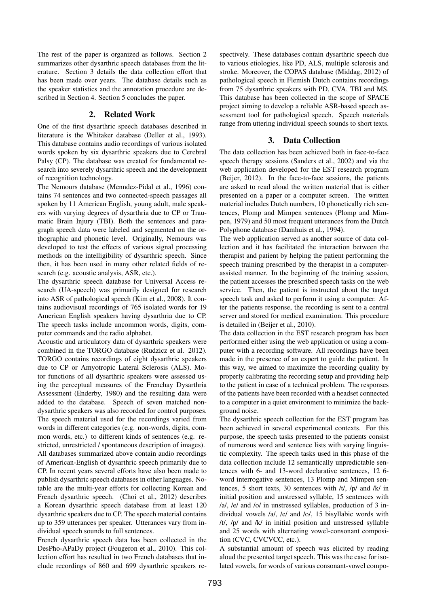The rest of the paper is organized as follows. Section 2 summarizes other dysarthric speech databases from the literature. Section 3 details the data collection effort that has been made over years. The database details such as the speaker statistics and the annotation procedure are described in Section 4. Section 5 concludes the paper.

### 2. Related Work

One of the first dysarthric speech databases described in literature is the Whitaker database (Deller et al., 1993). This database contains audio recordings of various isolated words spoken by six dysarthric speakers due to Cerebral Palsy (CP). The database was created for fundamental research into severely dysarthric speech and the development of recognition technology.

The Nemours database (Menndez-Pidal et al., 1996) contains 74 sentences and two connected-speech passages all spoken by 11 American English, young adult, male speakers with varying degrees of dysarthria due to CP or Traumatic Brain Injury (TBI). Both the sentences and paragraph speech data were labeled and segmented on the orthographic and phonetic level. Originally, Nemours was developed to test the effects of various signal processing methods on the intelligibility of dysarthric speech. Since then, it has been used in many other related fields of research (e.g. acoustic analysis, ASR, etc.).

The dysarthric speech database for Universal Access research (UA-speech) was primarily designed for research into ASR of pathological speech (Kim et al., 2008). It contains audiovisual recordings of 765 isolated words for 19 American English speakers having dysarthria due to CP. The speech tasks include uncommon words, digits, computer commands and the radio alphabet.

Acoustic and articulatory data of dysarthric speakers were combined in the TORGO database (Rudzicz et al. 2012). TORGO contains recordings of eight dysarthric speakers due to CP or Amyotropic Lateral Sclerosis (ALS). Motor functions of all dysarthric speakers were assessed using the perceptual measures of the Frenchay Dysarthria Assessment (Enderby, 1980) and the resulting data were added to the database. Speech of seven matched nondysarthric speakers was also recorded for control purposes. The speech material used for the recordings varied from words in different categories (e.g. non-words, digits, common words, etc.) to different kinds of sentences (e.g. restricted, unrestricted / spontaneous description of images). All databases summarized above contain audio recordings of American-English of dysarthric speech primarily due to CP. In recent years several efforts have also been made to publish dysarthric speech databases in other languages. Notable are the multi-year efforts for collecting Korean and French dysarthric speech. (Choi et al., 2012) describes a Korean dysarthric speech database from at least 120 dysarthric speakers due to CP. The speech material contains up to 359 utterances per speaker. Utterances vary from individual speech sounds to full sentences.

French dysarthric speech data has been collected in the DesPho-APaDy project (Fougeron et al., 2010). This collection effort has resulted in two French databases that include recordings of 860 and 699 dysarthric speakers respectively. These databases contain dysarthric speech due to various etiologies, like PD, ALS, multiple sclerosis and stroke. Moreover, the COPAS database (Middag, 2012) of pathological speech in Flemish Dutch contains recordings from 75 dysarthric speakers with PD, CVA, TBI and MS. This database has been collected in the scope of SPACE project aiming to develop a reliable ASR-based speech assessment tool for pathological speech. Speech materials range from uttering individual speech sounds to short texts.

## 3. Data Collection

The data collection has been achieved both in face-to-face speech therapy sessions (Sanders et al., 2002) and via the web application developed for the EST research program (Beijer, 2012). In the face-to-face sessions, the patients are asked to read aloud the written material that is either presented on a paper or a computer screen. The written material includes Dutch numbers, 10 phonetically rich sentences, Plomp and Mimpen sentences (Plomp and Mimpen, 1979) and 50 most frequent utterances from the Dutch Polyphone database (Damhuis et al., 1994).

The web application served as another source of data collection and it has facilitated the interaction between the therapist and patient by helping the patient performing the speech training prescribed by the therapist in a computerassisted manner. In the beginning of the training session, the patient accesses the prescribed speech tasks on the web service. Then, the patient is instructed about the target speech task and asked to perform it using a computer. After the patients response, the recording is sent to a central server and stored for medical examination. This procedure is detailed in (Beijer et al., 2010).

The data collection in the EST research program has been performed either using the web application or using a computer with a recording software. All recordings have been made in the presence of an expert to guide the patient. In this way, we aimed to maximize the recording quality by properly calibrating the recording setup and providing help to the patient in case of a technical problem. The responses of the patients have been recorded with a headset connected to a computer in a quiet environment to minimize the background noise.

The dysarthric speech collection for the EST program has been achieved in several experimental contexts. For this purpose, the speech tasks presented to the patients consist of numerous word and sentence lists with varying linguistic complexity. The speech tasks used in this phase of the data collection include 12 semantically unpredictable sentences with 6- and 13-word declarative sentences, 12 6 word interrogative sentences, 13 Plomp and Mimpen sentences, 5 short texts, 30 sentences with /t/, /p/ and /k/ in initial position and unstressed syllable, 15 sentences with /a/, /e/ and /o/ in unstressed syllables, production of 3 individual vowels /a/, /e/ and /o/, 15 bisyllabic words with /t/, /p/ and /k/ in initial position and unstressed syllable and 25 words with alternating vowel-consonant composition (CVC, CVCVCC, etc.).

A substantial amount of speech was elicited by reading aloud the presented target speech. This was the case for isolated vowels, for words of various consonant-vowel compo-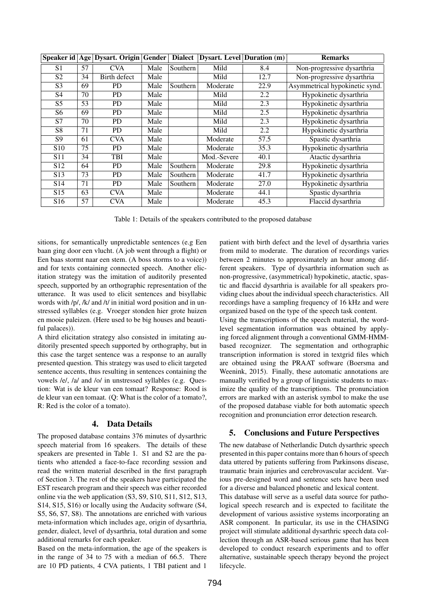| Speaker id      | Age | Dysart. Origin | Gender | <b>Dialect</b> | <b>Dysart.</b> Level Duration (m) |      | <b>Remarks</b>                 |
|-----------------|-----|----------------|--------|----------------|-----------------------------------|------|--------------------------------|
| S <sub>1</sub>  | 57  | <b>CVA</b>     | Male   | Southern       | Mild                              | 8.4  | Non-progressive dysarthria     |
| S <sub>2</sub>  | 34  | Birth defect   | Male   |                | Mild                              | 12.7 | Non-progressive dysarthria     |
| S <sub>3</sub>  | 69  | <b>PD</b>      | Male   | Southern       | Moderate                          | 22.9 | Asymmetrical hypokinetic synd. |
| S4              | 70  | <b>PD</b>      | Male   |                | Mild                              | 2.2  | Hypokinetic dysarthria         |
| S <sub>5</sub>  | 53  | <b>PD</b>      | Male   |                | Mild                              | 2.3  | Hypokinetic dysarthria         |
| S6              | 69  | <b>PD</b>      | Male   |                | Mild                              | 2.5  | Hypokinetic dysarthria         |
| S7              | 70  | <b>PD</b>      | Male   |                | Mild                              | 2.3  | Hypokinetic dysarthria         |
| S <sub>8</sub>  | 71  | <b>PD</b>      | Male   |                | Mild                              | 2.2  | Hypokinetic dysarthria         |
| S <sub>9</sub>  | 61  | <b>CVA</b>     | Male   |                | Moderate                          | 57.5 | Spastic dysarthria             |
| <b>S10</b>      | 75  | <b>PD</b>      | Male   |                | Moderate                          | 35.3 | Hypokinetic dysarthria         |
| S11             | 34  | TBI            | Male   |                | Mod.-Severe                       | 40.1 | Atactic dysarthria             |
| S <sub>12</sub> | 64  | <b>PD</b>      | Male   | Southern       | Moderate                          | 29.8 | Hypokinetic dysarthria         |
| S <sub>13</sub> | 73  | <b>PD</b>      | Male   | Southern       | Moderate                          | 41.7 | Hypokinetic dysarthria         |
| S <sub>14</sub> | 71  | <b>PD</b>      | Male   | Southern       | Moderate                          | 27.0 | Hypokinetic dysarthria         |
| S <sub>15</sub> | 63  | <b>CVA</b>     | Male   |                | Moderate                          | 44.1 | Spastic dysarthria             |
| S <sub>16</sub> | 57  | <b>CVA</b>     | Male   |                | Moderate                          | 45.3 | Flaccid dysarthria             |

Table 1: Details of the speakers contributed to the proposed database

sitions, for semantically unpredictable sentences (e.g Een baan ging door een vlucht. (A job went through a flight) or Een baas stormt naar een stem. (A boss storms to a voice)) and for texts containing connected speech. Another elicitation strategy was the imitation of auditorily presented speech, supported by an orthographic representation of the utterance. It was used to elicit sentences and bisyllabic words with /p/, /k/ and /t/ in initial word position and in unstressed syllables (e.g. Vroeger stonden hier grote huizen en mooie paleizen. (Here used to be big houses and beautiful palaces)).

A third elicitation strategy also consisted in imitating auditorily presented speech supported by orthography, but in this case the target sentence was a response to an aurally presented question. This strategy was used to elicit targeted sentence accents, thus resulting in sentences containing the vowels /e/, /a/ and /o/ in unstressed syllables (e.g. Question: Wat is de kleur van een tomaat? Response: Rood is de kleur van een tomaat. (Q: What is the color of a tomato?, R: Red is the color of a tomato).

### 4. Data Details

The proposed database contains 376 minutes of dysarthric speech material from 16 speakers. The details of these speakers are presented in Table 1. S1 and S2 are the patients who attended a face-to-face recording session and read the written material described in the first paragraph of Section 3. The rest of the speakers have participated the EST research program and their speech was either recorded online via the web application (S3, S9, S10, S11, S12, S13, S14, S15, S16) or locally using the Audacity software (S4, S5, S6, S7, S8). The annotations are enriched with various meta-information which includes age, origin of dysarthria, gender, dialect, level of dysarthria, total duration and some additional remarks for each speaker.

Based on the meta-information, the age of the speakers is in the range of 34 to 75 with a median of 66.5. There are 10 PD patients, 4 CVA patients, 1 TBI patient and 1

patient with birth defect and the level of dysarthria varies from mild to moderate. The duration of recordings varies between 2 minutes to approximately an hour among different speakers. Type of dysarthria information such as non-progressive, (asymmetrical) hypokinetic, atactic, spastic and flaccid dysarthria is available for all speakers providing clues about the individual speech characteristics. All recordings have a sampling frequency of 16 kHz and were organized based on the type of the speech task content.

Using the transcriptions of the speech material, the wordlevel segmentation information was obtained by applying forced alignment through a conventional GMM-HMMbased recognizer. The segmentation and orthographic transcription information is stored in textgrid files which are obtained using the PRAAT software (Boersma and Weenink, 2015). Finally, these automatic annotations are manually verified by a group of linguistic students to maximize the quality of the transcriptions. The pronunciation errors are marked with an asterisk symbol to make the use of the proposed database viable for both automatic speech recognition and pronunciation error detection research.

### 5. Conclusions and Future Perspectives

The new database of Netherlandic Dutch dysarthric speech presented in this paper contains more than 6 hours of speech data uttered by patients suffering from Parkinsons disease, traumatic brain injuries and cerebrovascular accident. Various pre-designed word and sentence sets have been used for a diverse and balanced phonetic and lexical content.

This database will serve as a useful data source for pathological speech research and is expected to facilitate the development of various assistive systems incorporating an ASR component. In particular, its use in the CHASING project will stimulate additional dysarthric speech data collection through an ASR-based serious game that has been developed to conduct research experiments and to offer alternative, sustainable speech therapy beyond the project lifecycle.